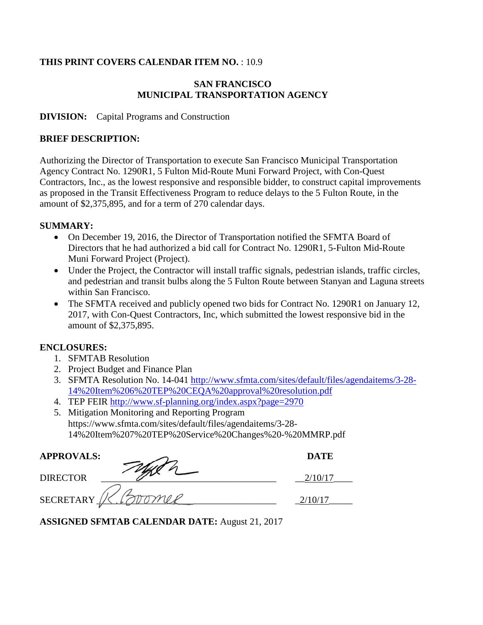#### **THIS PRINT COVERS CALENDAR ITEM NO.** : 10.9

## **SAN FRANCISCO MUNICIPAL TRANSPORTATION AGENCY**

#### **DIVISION:** Capital Programs and Construction

#### **BRIEF DESCRIPTION:**

Authorizing the Director of Transportation to execute San Francisco Municipal Transportation Agency Contract No. 1290R1, 5 Fulton Mid-Route Muni Forward Project, with Con-Quest Contractors, Inc., as the lowest responsive and responsible bidder, to construct capital improvements as proposed in the Transit Effectiveness Program to reduce delays to the 5 Fulton Route, in the amount of \$2,375,895, and for a term of 270 calendar days.

#### **SUMMARY:**

- On December 19, 2016, the Director of Transportation notified the SFMTA Board of Directors that he had authorized a bid call for Contract No. 1290R1, 5-Fulton Mid-Route Muni Forward Project (Project).
- Under the Project, the Contractor will install traffic signals, pedestrian islands, traffic circles, and pedestrian and transit bulbs along the 5 Fulton Route between Stanyan and Laguna streets within San Francisco.
- The SFMTA received and publicly opened two bids for Contract No. 1290R1 on January 12, 2017, with Con-Quest Contractors, Inc, which submitted the lowest responsive bid in the amount of \$2,375,895.

### **ENCLOSURES:**

- 1. SFMTAB Resolution
- 2. Project Budget and Finance Plan
- 3. SFMTA Resolution No. 14-041 http://www.sfmta.com/sites/default/files/agendaitems/3-28- 14%20Item%206%20TEP%20CEQA%20approval%20resolution.pdf
- 4. TEP FEIR http://www.sf-planning.org/index.aspx?page=2970

| 5. Mitigation Monitoring and Reporting Program              |
|-------------------------------------------------------------|
| https://www.sfmta.com/sites/default/files/agendaitems/3-28- |
| 14%20Item%207%20TEP%20Service%20Changes%20-%20MMRP.pdf      |

| <b>APPROVALS:</b> | <b>DATE</b> |
|-------------------|-------------|
| <b>DIRECTOR</b>   |             |
| <b>SECRETARY</b>  |             |

**ASSIGNED SFMTAB CALENDAR DATE:** August 21, 2017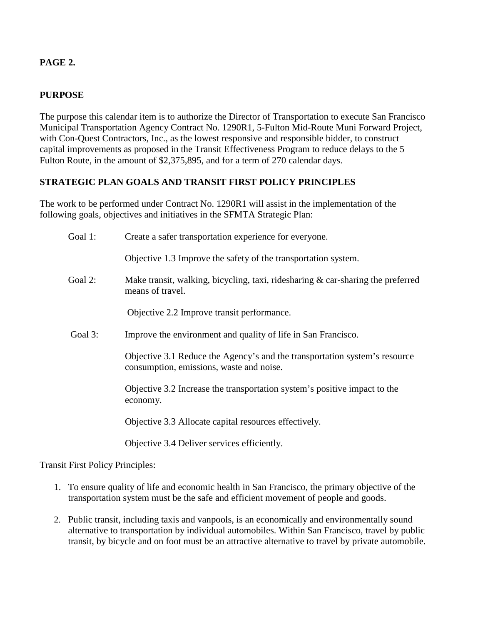## **PAGE 2.**

## **PURPOSE**

The purpose this calendar item is to authorize the Director of Transportation to execute San Francisco Municipal Transportation Agency Contract No. 1290R1, 5-Fulton Mid-Route Muni Forward Project, with Con-Quest Contractors, Inc., as the lowest responsive and responsible bidder, to construct capital improvements as proposed in the Transit Effectiveness Program to reduce delays to the 5 Fulton Route, in the amount of \$2,375,895, and for a term of 270 calendar days.

# **STRATEGIC PLAN GOALS AND TRANSIT FIRST POLICY PRINCIPLES**

The work to be performed under Contract No. 1290R1 will assist in the implementation of the following goals, objectives and initiatives in the SFMTA Strategic Plan:

| Goal 1: | Create a safer transportation experience for everyone.                                                                 |
|---------|------------------------------------------------------------------------------------------------------------------------|
|         | Objective 1.3 Improve the safety of the transportation system.                                                         |
| Goal 2: | Make transit, walking, bicycling, taxi, ridesharing $\&$ car-sharing the preferred<br>means of travel.                 |
|         | Objective 2.2 Improve transit performance.                                                                             |
| Goal 3: | Improve the environment and quality of life in San Francisco.                                                          |
|         | Objective 3.1 Reduce the Agency's and the transportation system's resource<br>consumption, emissions, waste and noise. |
|         | Objective 3.2 Increase the transportation system's positive impact to the<br>economy.                                  |
|         | Objective 3.3 Allocate capital resources effectively.                                                                  |
|         | Objective 3.4 Deliver services efficiently.                                                                            |

Transit First Policy Principles:

- 1. To ensure quality of life and economic health in San Francisco, the primary objective of the transportation system must be the safe and efficient movement of people and goods.
- 2. Public transit, including taxis and vanpools, is an economically and environmentally sound alternative to transportation by individual automobiles. Within San Francisco, travel by public transit, by bicycle and on foot must be an attractive alternative to travel by private automobile.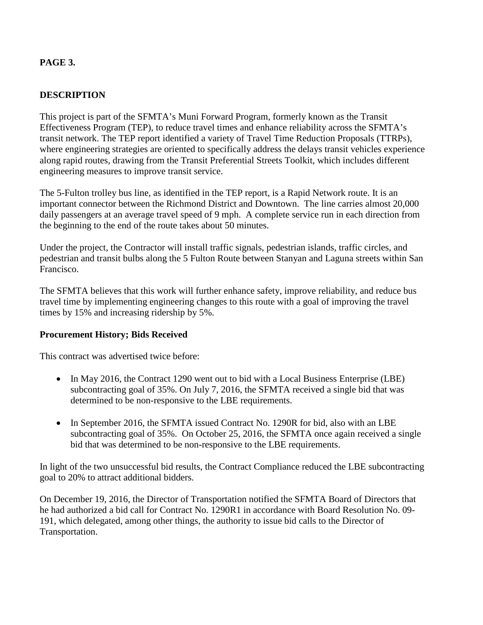## **PAGE 3.**

### **DESCRIPTION**

This project is part of the SFMTA's Muni Forward Program, formerly known as the Transit Effectiveness Program (TEP), to reduce travel times and enhance reliability across the SFMTA's transit network. The TEP report identified a variety of Travel Time Reduction Proposals (TTRPs), where engineering strategies are oriented to specifically address the delays transit vehicles experience along rapid routes, drawing from the Transit Preferential Streets Toolkit, which includes different engineering measures to improve transit service.

The 5-Fulton trolley bus line, as identified in the TEP report, is a Rapid Network route. It is an important connector between the Richmond District and Downtown. The line carries almost 20,000 daily passengers at an average travel speed of 9 mph. A complete service run in each direction from the beginning to the end of the route takes about 50 minutes.

Under the project, the Contractor will install traffic signals, pedestrian islands, traffic circles, and pedestrian and transit bulbs along the 5 Fulton Route between Stanyan and Laguna streets within San Francisco.

The SFMTA believes that this work will further enhance safety, improve reliability, and reduce bus travel time by implementing engineering changes to this route with a goal of improving the travel times by 15% and increasing ridership by 5%.

### **Procurement History; Bids Received**

This contract was advertised twice before:

- In May 2016, the Contract 1290 went out to bid with a Local Business Enterprise (LBE) subcontracting goal of 35%. On July 7, 2016, the SFMTA received a single bid that was determined to be non-responsive to the LBE requirements.
- In September 2016, the SFMTA issued Contract No. 1290R for bid, also with an LBE subcontracting goal of 35%. On October 25, 2016, the SFMTA once again received a single bid that was determined to be non-responsive to the LBE requirements.

In light of the two unsuccessful bid results, the Contract Compliance reduced the LBE subcontracting goal to 20% to attract additional bidders.

On December 19, 2016, the Director of Transportation notified the SFMTA Board of Directors that he had authorized a bid call for Contract No. 1290R1 in accordance with Board Resolution No. 09- 191, which delegated, among other things, the authority to issue bid calls to the Director of Transportation.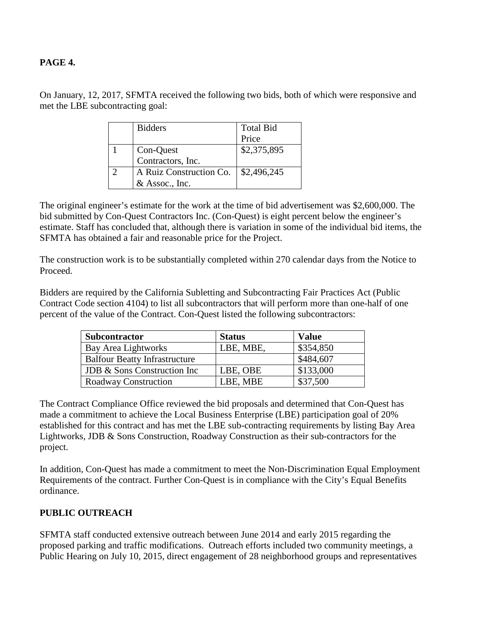#### **PAGE 4.**

On January, 12, 2017, SFMTA received the following two bids, both of which were responsive and met the LBE subcontracting goal:

| <b>Bidders</b>          | <b>Total Bid</b> |
|-------------------------|------------------|
|                         | Price            |
| Con-Quest               | \$2,375,895      |
| Contractors, Inc.       |                  |
| A Ruiz Construction Co. | \$2,496,245      |
| & Assoc., Inc.          |                  |

The original engineer's estimate for the work at the time of bid advertisement was \$2,600,000. The bid submitted by Con-Quest Contractors Inc. (Con-Quest) is eight percent below the engineer's estimate. Staff has concluded that, although there is variation in some of the individual bid items, the SFMTA has obtained a fair and reasonable price for the Project.

The construction work is to be substantially completed within 270 calendar days from the Notice to Proceed.

Bidders are required by the California Subletting and Subcontracting Fair Practices Act (Public Contract Code section 4104) to list all subcontractors that will perform more than one-half of one percent of the value of the Contract. Con-Quest listed the following subcontractors:

| <b>Subcontractor</b>                 | <b>Status</b> | <b>Value</b> |
|--------------------------------------|---------------|--------------|
| Bay Area Lightworks                  | LBE, MBE,     | \$354,850    |
| <b>Balfour Beatty Infrastructure</b> |               | \$484,607    |
| JDB & Sons Construction Inc          | LBE, OBE      | \$133,000    |
| Roadway Construction                 | LBE, MBE      | \$37,500     |

The Contract Compliance Office reviewed the bid proposals and determined that Con-Quest has made a commitment to achieve the Local Business Enterprise (LBE) participation goal of 20% established for this contract and has met the LBE sub-contracting requirements by listing Bay Area Lightworks, JDB & Sons Construction, Roadway Construction as their sub-contractors for the project.

In addition, Con-Quest has made a commitment to meet the Non-Discrimination Equal Employment Requirements of the contract. Further Con-Quest is in compliance with the City's Equal Benefits ordinance.

### **PUBLIC OUTREACH**

SFMTA staff conducted extensive outreach between June 2014 and early 2015 regarding the proposed parking and traffic modifications. Outreach efforts included two community meetings, a Public Hearing on July 10, 2015, direct engagement of 28 neighborhood groups and representatives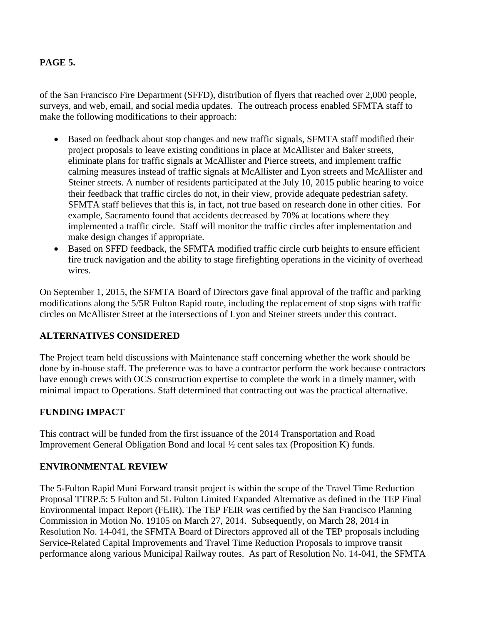### **PAGE 5.**

of the San Francisco Fire Department (SFFD), distribution of flyers that reached over 2,000 people, surveys, and web, email, and social media updates. The outreach process enabled SFMTA staff to make the following modifications to their approach:

- Based on feedback about stop changes and new traffic signals, SFMTA staff modified their project proposals to leave existing conditions in place at McAllister and Baker streets, eliminate plans for traffic signals at McAllister and Pierce streets, and implement traffic calming measures instead of traffic signals at McAllister and Lyon streets and McAllister and Steiner streets. A number of residents participated at the July 10, 2015 public hearing to voice their feedback that traffic circles do not, in their view, provide adequate pedestrian safety. SFMTA staff believes that this is, in fact, not true based on research done in other cities. For example, Sacramento found that accidents decreased by 70% at locations where they implemented a traffic circle. Staff will monitor the traffic circles after implementation and make design changes if appropriate.
- Based on SFFD feedback, the SFMTA modified traffic circle curb heights to ensure efficient fire truck navigation and the ability to stage firefighting operations in the vicinity of overhead wires.

On September 1, 2015, the SFMTA Board of Directors gave final approval of the traffic and parking modifications along the 5/5R Fulton Rapid route, including the replacement of stop signs with traffic circles on McAllister Street at the intersections of Lyon and Steiner streets under this contract.

### **ALTERNATIVES CONSIDERED**

The Project team held discussions with Maintenance staff concerning whether the work should be done by in-house staff. The preference was to have a contractor perform the work because contractors have enough crews with OCS construction expertise to complete the work in a timely manner, with minimal impact to Operations. Staff determined that contracting out was the practical alternative.

# **FUNDING IMPACT**

This contract will be funded from the first issuance of the 2014 Transportation and Road Improvement General Obligation Bond and local ½ cent sales tax (Proposition K) funds.

### **ENVIRONMENTAL REVIEW**

The 5-Fulton Rapid Muni Forward transit project is within the scope of the Travel Time Reduction Proposal TTRP.5: 5 Fulton and 5L Fulton Limited Expanded Alternative as defined in the TEP Final Environmental Impact Report (FEIR). The TEP FEIR was certified by the San Francisco Planning Commission in Motion No. 19105 on March 27, 2014. Subsequently, on March 28, 2014 in Resolution No. 14-041, the SFMTA Board of Directors approved all of the TEP proposals including Service-Related Capital Improvements and Travel Time Reduction Proposals to improve transit performance along various Municipal Railway routes. As part of Resolution No. 14-041, the SFMTA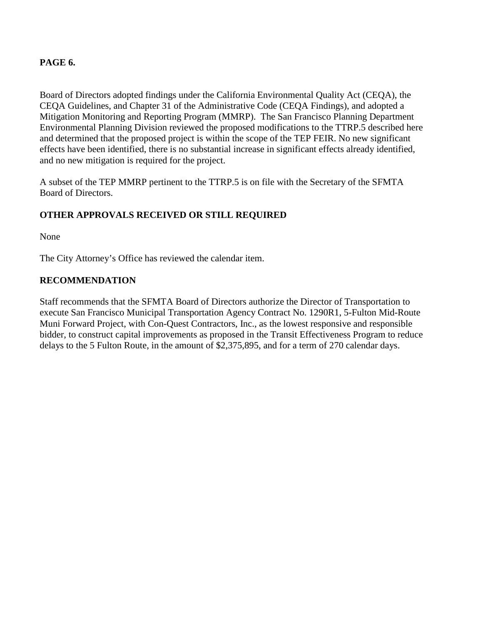#### **PAGE 6.**

Board of Directors adopted findings under the California Environmental Quality Act (CEQA), the CEQA Guidelines, and Chapter 31 of the Administrative Code (CEQA Findings), and adopted a Mitigation Monitoring and Reporting Program (MMRP). The San Francisco Planning Department Environmental Planning Division reviewed the proposed modifications to the TTRP.5 described here and determined that the proposed project is within the scope of the TEP FEIR. No new significant effects have been identified, there is no substantial increase in significant effects already identified, and no new mitigation is required for the project.

A subset of the TEP MMRP pertinent to the TTRP.5 is on file with the Secretary of the SFMTA Board of Directors.

### **OTHER APPROVALS RECEIVED OR STILL REQUIRED**

None

The City Attorney's Office has reviewed the calendar item.

### **RECOMMENDATION**

Staff recommends that the SFMTA Board of Directors authorize the Director of Transportation to execute San Francisco Municipal Transportation Agency Contract No. 1290R1, 5-Fulton Mid-Route Muni Forward Project, with Con-Quest Contractors, Inc., as the lowest responsive and responsible bidder, to construct capital improvements as proposed in the Transit Effectiveness Program to reduce delays to the 5 Fulton Route, in the amount of \$2,375,895, and for a term of 270 calendar days.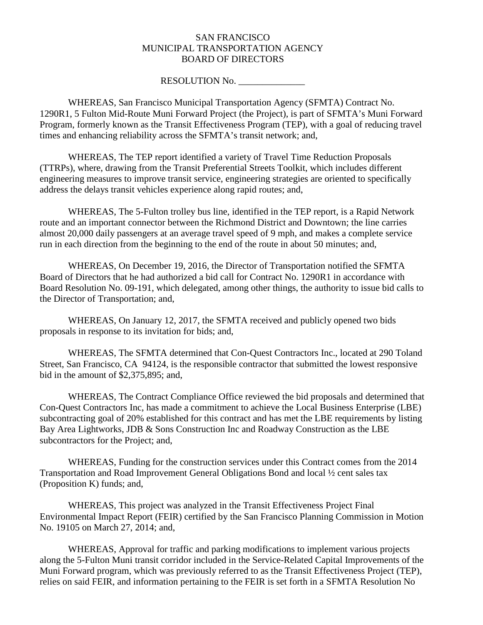#### SAN FRANCISCO MUNICIPAL TRANSPORTATION AGENCY BOARD OF DIRECTORS

#### RESOLUTION No.

WHEREAS, San Francisco Municipal Transportation Agency (SFMTA) Contract No. 1290R1, 5 Fulton Mid-Route Muni Forward Project (the Project), is part of SFMTA's Muni Forward Program, formerly known as the Transit Effectiveness Program (TEP), with a goal of reducing travel times and enhancing reliability across the SFMTA's transit network; and,

WHEREAS, The TEP report identified a variety of Travel Time Reduction Proposals (TTRPs), where, drawing from the Transit Preferential Streets Toolkit, which includes different engineering measures to improve transit service, engineering strategies are oriented to specifically address the delays transit vehicles experience along rapid routes; and,

WHEREAS, The 5-Fulton trolley bus line, identified in the TEP report, is a Rapid Network route and an important connector between the Richmond District and Downtown; the line carries almost 20,000 daily passengers at an average travel speed of 9 mph, and makes a complete service run in each direction from the beginning to the end of the route in about 50 minutes; and,

WHEREAS, On December 19, 2016, the Director of Transportation notified the SFMTA Board of Directors that he had authorized a bid call for Contract No. 1290R1 in accordance with Board Resolution No. 09-191, which delegated, among other things, the authority to issue bid calls to the Director of Transportation; and,

WHEREAS, On January 12, 2017, the SFMTA received and publicly opened two bids proposals in response to its invitation for bids; and,

WHEREAS, The SFMTA determined that Con-Quest Contractors Inc., located at 290 Toland Street, San Francisco, CA 94124, is the responsible contractor that submitted the lowest responsive bid in the amount of \$2,375,895; and,

WHEREAS, The Contract Compliance Office reviewed the bid proposals and determined that Con-Quest Contractors Inc, has made a commitment to achieve the Local Business Enterprise (LBE) subcontracting goal of 20% established for this contract and has met the LBE requirements by listing Bay Area Lightworks, JDB & Sons Construction Inc and Roadway Construction as the LBE subcontractors for the Project; and,

WHEREAS, Funding for the construction services under this Contract comes from the 2014 Transportation and Road Improvement General Obligations Bond and local ½ cent sales tax (Proposition K) funds; and,

WHEREAS, This project was analyzed in the Transit Effectiveness Project Final Environmental Impact Report (FEIR) certified by the San Francisco Planning Commission in Motion No. 19105 on March 27, 2014; and,

WHEREAS, Approval for traffic and parking modifications to implement various projects along the 5-Fulton Muni transit corridor included in the Service-Related Capital Improvements of the Muni Forward program, which was previously referred to as the Transit Effectiveness Project (TEP), relies on said FEIR, and information pertaining to the FEIR is set forth in a SFMTA Resolution No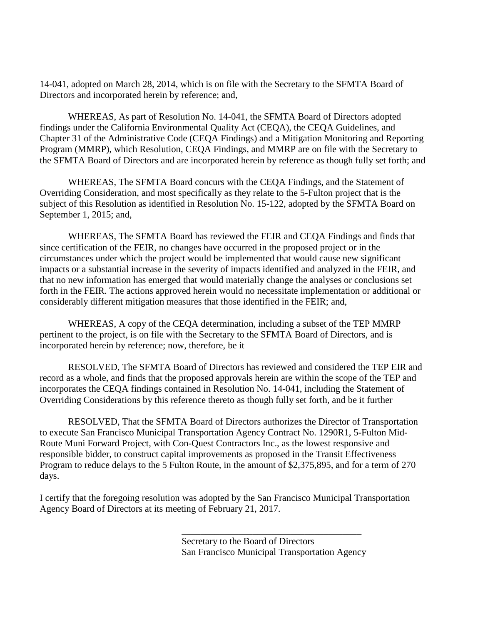14-041, adopted on March 28, 2014, which is on file with the Secretary to the SFMTA Board of Directors and incorporated herein by reference; and,

WHEREAS, As part of Resolution No. 14-041, the SFMTA Board of Directors adopted findings under the California Environmental Quality Act (CEQA), the CEQA Guidelines, and Chapter 31 of the Administrative Code (CEQA Findings) and a Mitigation Monitoring and Reporting Program (MMRP), which Resolution, CEQA Findings, and MMRP are on file with the Secretary to the SFMTA Board of Directors and are incorporated herein by reference as though fully set forth; and

WHEREAS, The SFMTA Board concurs with the CEQA Findings, and the Statement of Overriding Consideration, and most specifically as they relate to the 5-Fulton project that is the subject of this Resolution as identified in Resolution No. 15-122, adopted by the SFMTA Board on September 1, 2015; and,

WHEREAS, The SFMTA Board has reviewed the FEIR and CEQA Findings and finds that since certification of the FEIR, no changes have occurred in the proposed project or in the circumstances under which the project would be implemented that would cause new significant impacts or a substantial increase in the severity of impacts identified and analyzed in the FEIR, and that no new information has emerged that would materially change the analyses or conclusions set forth in the FEIR. The actions approved herein would no necessitate implementation or additional or considerably different mitigation measures that those identified in the FEIR; and,

WHEREAS, A copy of the CEQA determination, including a subset of the TEP MMRP pertinent to the project, is on file with the Secretary to the SFMTA Board of Directors, and is incorporated herein by reference; now, therefore, be it

RESOLVED, The SFMTA Board of Directors has reviewed and considered the TEP EIR and record as a whole, and finds that the proposed approvals herein are within the scope of the TEP and incorporates the CEQA findings contained in Resolution No. 14-041, including the Statement of Overriding Considerations by this reference thereto as though fully set forth, and be it further

RESOLVED, That the SFMTA Board of Directors authorizes the Director of Transportation to execute San Francisco Municipal Transportation Agency Contract No. 1290R1, 5-Fulton Mid-Route Muni Forward Project, with Con-Quest Contractors Inc., as the lowest responsive and responsible bidder, to construct capital improvements as proposed in the Transit Effectiveness Program to reduce delays to the 5 Fulton Route, in the amount of \$2,375,895, and for a term of 270 days.

I certify that the foregoing resolution was adopted by the San Francisco Municipal Transportation Agency Board of Directors at its meeting of February 21, 2017.

> Secretary to the Board of Directors San Francisco Municipal Transportation Agency

\_\_\_\_\_\_\_\_\_\_\_\_\_\_\_\_\_\_\_\_\_\_\_\_\_\_\_\_\_\_\_\_\_\_\_\_\_\_